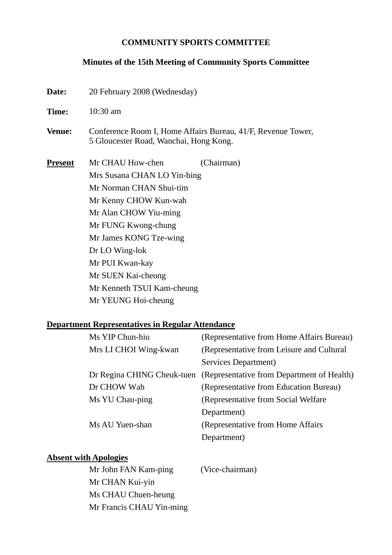#### **COMMUNITY SPORTS COMMITTEE**

#### **Minutes of the 15th Meeting of Community Sports Committee**

| Date:          | 20 February 2008 (Wednesday)                                                                           |  |  |
|----------------|--------------------------------------------------------------------------------------------------------|--|--|
| Time:          | $10:30$ am                                                                                             |  |  |
| <b>Venue:</b>  | Conference Room I, Home Affairs Bureau, 41/F, Revenue Tower,<br>5 Gloucester Road, Wanchai, Hong Kong. |  |  |
| <b>Present</b> | Mr CHAU How-chen<br>(Chairman)                                                                         |  |  |
|                | Mrs Susana CHAN LO Yin-bing                                                                            |  |  |
|                | Mr Norman CHAN Shui-tim                                                                                |  |  |
|                | Mr Kenny CHOW Kun-wah<br>Mr Alan CHOW Yiu-ming<br>Mr FUNG Kwong-chung                                  |  |  |
|                |                                                                                                        |  |  |
|                |                                                                                                        |  |  |
|                | Mr James KONG Tze-wing                                                                                 |  |  |
|                | Dr LO Wing-lok                                                                                         |  |  |
|                | Mr PUI Kwan-kay                                                                                        |  |  |
|                | Mr SUEN Kai-cheong                                                                                     |  |  |
|                | Mr Kenneth TSUI Kam-cheung                                                                             |  |  |
|                | Mr YEUNG Hoi-cheung                                                                                    |  |  |

# **Department Representatives in Regular Attendance**

| Ms YIP Chun-hiu       | (Representative from Home Affairs Bureau)                             |
|-----------------------|-----------------------------------------------------------------------|
| Mrs LI CHOI Wing-kwan | (Representative from Leisure and Cultural                             |
|                       | Services Department)                                                  |
|                       | Dr Regina CHING Cheuk-tuen (Representative from Department of Health) |
| Dr CHOW Wah           | (Representative from Education Bureau)                                |
| Ms YU Chau-ping       | (Representative from Social Welfare)                                  |
|                       | Department)                                                           |
| Ms AU Yuen-shan       | (Representative from Home Affairs)                                    |
|                       | Department)                                                           |

#### **Absent with Apologies**

Mr John FAN Kam-ping (Vice-chairman) Mr CHAN Kui-yin Ms CHAU Chuen-heung Mr Francis CHAU Yin-ming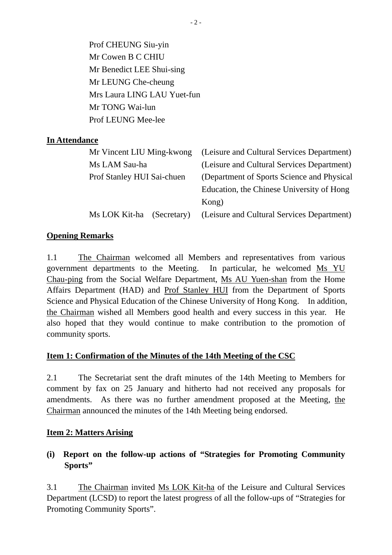Prof CHEUNG Siu-yin Mr Cowen B C CHIU Mr Benedict LEE Shui-sing Mr LEUNG Che-cheung Mrs Laura LING LAU Yuet-fun Mr TONG Wai-lun Prof LEUNG Mee-lee

### **In Attendance**

| Mr Vincent LIU Ming-kwong (Leisure and Cultural Services Department) |
|----------------------------------------------------------------------|
| (Leisure and Cultural Services Department)                           |
| (Department of Sports Science and Physical                           |
| Education, the Chinese University of Hong                            |
| Kong)                                                                |
| (Leisure and Cultural Services Department)                           |
|                                                                      |

### **Opening Remarks**

1.1 The Chairman welcomed all Members and representatives from various government departments to the Meeting. In particular, he welcomed Ms YU Chau-ping from the Social Welfare Department, Ms AU Yuen-shan from the Home Affairs Department (HAD) and Prof Stanley HUI from the Department of Sports Science and Physical Education of the Chinese University of Hong Kong. In addition, the Chairman wished all Members good health and every success in this year. He also hoped that they would continue to make contribution to the promotion of community sports.

### **Item 1: Confirmation of the Minutes of the 14th Meeting of the CSC**

2.1 The Secretariat sent the draft minutes of the 14th Meeting to Members for comment by fax on 25 January and hitherto had not received any proposals for amendments. As there was no further amendment proposed at the Meeting, the Chairman announced the minutes of the 14th Meeting being endorsed.

#### **Item 2: Matters Arising**

# **(i) Report on the follow-up actions of "Strategies for Promoting Community Sports"**

3.1 The Chairman invited Ms LOK Kit-ha of the Leisure and Cultural Services Department (LCSD) to report the latest progress of all the follow-ups of "Strategies for Promoting Community Sports".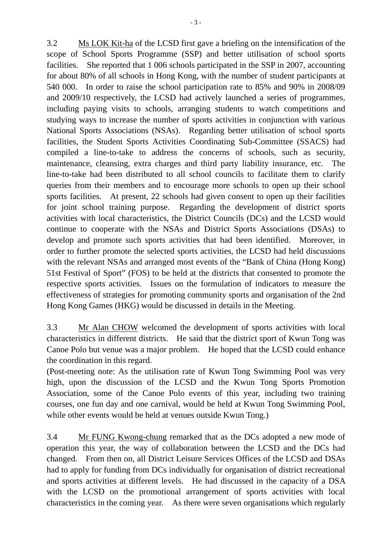3.2 Ms LOK Kit-ha of the LCSD first gave a briefing on the intensification of the scope of School Sports Programme (SSP) and better utilisation of school sports facilities. She reported that 1 006 schools participated in the SSP in 2007, accounting for about 80% of all schools in Hong Kong, with the number of student participants at 540 000. In order to raise the school participation rate to 85% and 90% in 2008/09 and 2009/10 respectively, the LCSD had actively launched a series of programmes, including paying visits to schools, arranging students to watch competitions and studying ways to increase the number of sports activities in conjunction with various National Sports Associations (NSAs). Regarding better utilisation of school sports facilities, the Student Sports Activities Coordinating Sub-Committee (SSACS) had compiled a line-to-take to address the concerns of schools, such as security, maintenance, cleansing, extra charges and third party liability insurance, etc. The line-to-take had been distributed to all school councils to facilitate them to clarify queries from their members and to encourage more schools to open up their school sports facilities. At present, 22 schools had given consent to open up their facilities for joint school training purpose. Regarding the development of district sports activities with local characteristics, the District Councils (DCs) and the LCSD would continue to cooperate with the NSAs and District Sports Associations (DSAs) to develop and promote such sports activities that had been identified. Moreover, in order to further promote the selected sports activities, the LCSD had held discussions with the relevant NSAs and arranged most events of the "Bank of China (Hong Kong) 51st Festival of Sport" (FOS) to be held at the districts that consented to promote the respective sports activities. Issues on the formulation of indicators to measure the effectiveness of strategies for promoting community sports and organisation of the 2nd Hong Kong Games (HKG) would be discussed in details in the Meeting.

3.3 Mr Alan CHOW welcomed the development of sports activities with local characteristics in different districts. He said that the district sport of Kwun Tong was Canoe Polo but venue was a major problem. He hoped that the LCSD could enhance the coordination in this regard.

(Post-meeting note: As the utilisation rate of Kwun Tong Swimming Pool was very high, upon the discussion of the LCSD and the Kwun Tong Sports Promotion Association, some of the Canoe Polo events of this year, including two training courses, one fun day and one carnival, would be held at Kwun Tong Swimming Pool, while other events would be held at venues outside Kwun Tong.)

3.4 Mr FUNG Kwong-chung remarked that as the DCs adopted a new mode of operation this year, the way of collaboration between the LCSD and the DCs had changed. From then on, all District Leisure Services Offices of the LCSD and DSAs had to apply for funding from DCs individually for organisation of district recreational and sports activities at different levels. He had discussed in the capacity of a DSA with the LCSD on the promotional arrangement of sports activities with local characteristics in the coming year. As there were seven organisations which regularly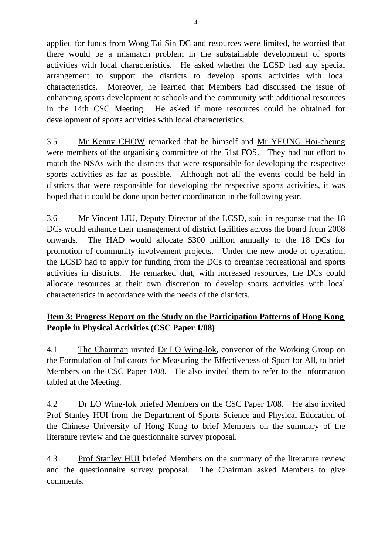applied for funds from Wong Tai Sin DC and resources were limited, he worried that there would be a mismatch problem in the substainable development of sports activities with local characteristics. He asked whether the LCSD had any special arrangement to support the districts to develop sports activities with local characteristics. Moreover, he learned that Members had discussed the issue of enhancing sports development at schools and the community with additional resources in the 14th CSC Meeting. He asked if more resources could be obtained for development of sports activities with local characteristics.

3.5 Mr Kenny CHOW remarked that he himself and Mr YEUNG Hoi-cheung were members of the organising committee of the 51st FOS. They had put effort to match the NSAs with the districts that were responsible for developing the respective sports activities as far as possible. Although not all the events could be held in districts that were responsible for developing the respective sports activities, it was hoped that it could be done upon better coordination in the following year.

3.6 Mr Vincent LIU, Deputy Director of the LCSD, said in response that the 18 DCs would enhance their management of district facilities across the board from 2008 onwards. The HAD would allocate \$300 million annually to the 18 DCs for promotion of community involvement projects. Under the new mode of operation, the LCSD had to apply for funding from the DCs to organise recreational and sports activities in districts. He remarked that, with increased resources, the DCs could allocate resources at their own discretion to develop sports activities with local characteristics in accordance with the needs of the districts.

# **Item 3: Progress Report on the Study on the Participation Patterns of Hong Kong People in Physical Activities (CSC Paper 1/08)**

4.1 The Chairman invited Dr LO Wing-lok, convenor of the Working Group on the Formulation of Indicators for Measuring the Effectiveness of Sport for All, to brief Members on the CSC Paper 1/08. He also invited them to refer to the information tabled at the Meeting.

4.2 Dr LO Wing-lok briefed Members on the CSC Paper 1/08. He also invited Prof Stanley HUI from the Department of Sports Science and Physical Education of the Chinese University of Hong Kong to brief Members on the summary of the literature review and the questionnaire survey proposal.

4.3 Prof Stanley HUI briefed Members on the summary of the literature review and the questionnaire survey proposal. The Chairman asked Members to give comments.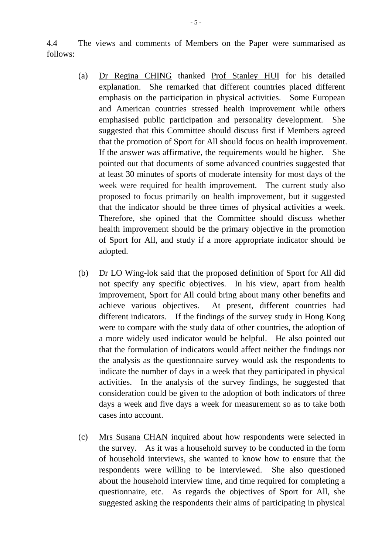4.4 The views and comments of Members on the Paper were summarised as follows:

- (a) Dr Regina CHING thanked Prof Stanley HUI for his detailed explanation. She remarked that different countries placed different emphasis on the participation in physical activities. Some European and American countries stressed health improvement while others emphasised public participation and personality development. She suggested that this Committee should discuss first if Members agreed that the promotion of Sport for All should focus on health improvement. If the answer was affirmative, the requirements would be higher. She pointed out that documents of some advanced countries suggested that at least 30 minutes of sports of moderate intensity for most days of the week were required for health improvement. The current study also proposed to focus primarily on health improvement, but it suggested that the indicator should be three times of physical activities a week. Therefore, she opined that the Committee should discuss whether health improvement should be the primary objective in the promotion of Sport for All, and study if a more appropriate indicator should be adopted.
- (b) Dr LO Wing-lok said that the proposed definition of Sport for All did not specify any specific objectives. In his view, apart from health improvement, Sport for All could bring about many other benefits and achieve various objectives. At present, different countries had different indicators. If the findings of the survey study in Hong Kong were to compare with the study data of other countries, the adoption of a more widely used indicator would be helpful. He also pointed out that the formulation of indicators would affect neither the findings nor the analysis as the questionnaire survey would ask the respondents to indicate the number of days in a week that they participated in physical activities. In the analysis of the survey findings, he suggested that consideration could be given to the adoption of both indicators of three days a week and five days a week for measurement so as to take both cases into account.
- (c) Mrs Susana CHAN inquired about how respondents were selected in the survey. As it was a household survey to be conducted in the form of household interviews, she wanted to know how to ensure that the respondents were willing to be interviewed. She also questioned about the household interview time, and time required for completing a questionnaire, etc. As regards the objectives of Sport for All, she suggested asking the respondents their aims of participating in physical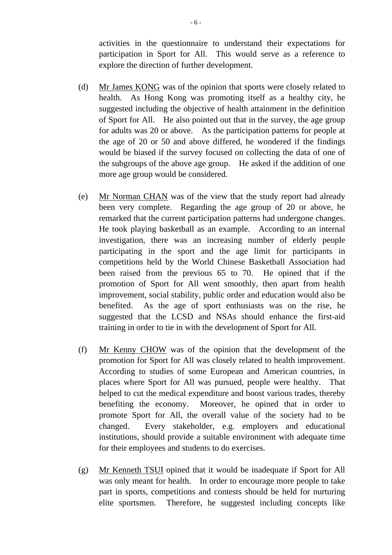activities in the questionnaire to understand their expectations for participation in Sport for All. This would serve as a reference to explore the direction of further development.

- (d) Mr James KONG was of the opinion that sports were closely related to health. As Hong Kong was promoting itself as a healthy city, he suggested including the objective of health attainment in the definition of Sport for All. He also pointed out that in the survey, the age group for adults was 20 or above. As the participation patterns for people at the age of 20 or 50 and above differed, he wondered if the findings would be biased if the survey focused on collecting the data of one of the subgroups of the above age group. He asked if the addition of one more age group would be considered.
- (e) Mr Norman CHAN was of the view that the study report had already been very complete. Regarding the age group of 20 or above, he remarked that the current participation patterns had undergone changes. He took playing basketball as an example. According to an internal investigation, there was an increasing number of elderly people participating in the sport and the age limit for participants in competitions held by the World Chinese Basketball Association had been raised from the previous 65 to 70. He opined that if the promotion of Sport for All went smoothly, then apart from health improvement, social stability, public order and education would also be benefited. As the age of sport enthusiasts was on the rise, he suggested that the LCSD and NSAs should enhance the first-aid training in order to tie in with the development of Sport for All.
- (f) Mr Kenny CHOW was of the opinion that the development of the promotion for Sport for All was closely related to health improvement. According to studies of some European and American countries, in places where Sport for All was pursued, people were healthy. That helped to cut the medical expenditure and boost various trades, thereby benefiting the economy. Moreover, he opined that in order to promote Sport for All, the overall value of the society had to be changed. Every stakeholder, e.g. employers and educational institutions, should provide a suitable environment with adequate time for their employees and students to do exercises.
- (g) Mr Kenneth TSUI opined that it would be inadequate if Sport for All was only meant for health. In order to encourage more people to take part in sports, competitions and contests should be held for nurturing elite sportsmen. Therefore, he suggested including concepts like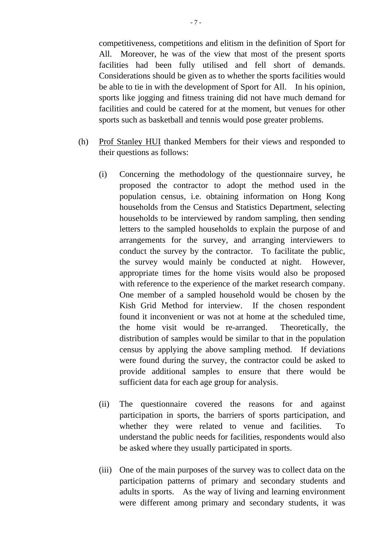competitiveness, competitions and elitism in the definition of Sport for All. Moreover, he was of the view that most of the present sports facilities had been fully utilised and fell short of demands. Considerations should be given as to whether the sports facilities would be able to tie in with the development of Sport for All. In his opinion, sports like jogging and fitness training did not have much demand for facilities and could be catered for at the moment, but venues for other sports such as basketball and tennis would pose greater problems.

- (h) Prof Stanley HUI thanked Members for their views and responded to their questions as follows:
	- (i) Concerning the methodology of the questionnaire survey, he proposed the contractor to adopt the method used in the population census, i.e. obtaining information on Hong Kong households from the Census and Statistics Department, selecting households to be interviewed by random sampling, then sending letters to the sampled households to explain the purpose of and arrangements for the survey, and arranging interviewers to conduct the survey by the contractor. To facilitate the public, the survey would mainly be conducted at night. However, appropriate times for the home visits would also be proposed with reference to the experience of the market research company. One member of a sampled household would be chosen by the Kish Grid Method for interview. If the chosen respondent found it inconvenient or was not at home at the scheduled time, the home visit would be re-arranged. Theoretically, the distribution of samples would be similar to that in the population census by applying the above sampling method. If deviations were found during the survey, the contractor could be asked to provide additional samples to ensure that there would be sufficient data for each age group for analysis.
	- (ii) The questionnaire covered the reasons for and against participation in sports, the barriers of sports participation, and whether they were related to venue and facilities. To understand the public needs for facilities, respondents would also be asked where they usually participated in sports.
	- (iii) One of the main purposes of the survey was to collect data on the participation patterns of primary and secondary students and adults in sports. As the way of living and learning environment were different among primary and secondary students, it was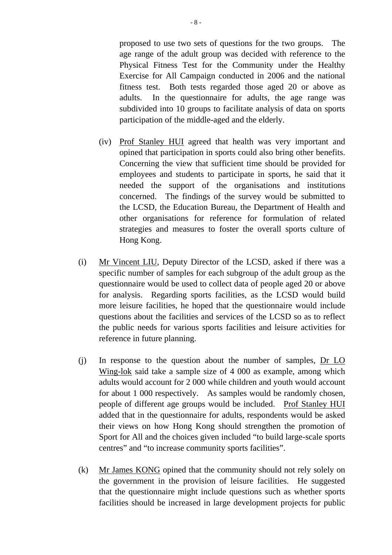proposed to use two sets of questions for the two groups. The age range of the adult group was decided with reference to the Physical Fitness Test for the Community under the Healthy Exercise for All Campaign conducted in 2006 and the national fitness test. Both tests regarded those aged 20 or above as adults. In the questionnaire for adults, the age range was subdivided into 10 groups to facilitate analysis of data on sports participation of the middle-aged and the elderly.

- (iv) Prof Stanley HUI agreed that health was very important and opined that participation in sports could also bring other benefits. Concerning the view that sufficient time should be provided for employees and students to participate in sports, he said that it needed the support of the organisations and institutions concerned. The findings of the survey would be submitted to the LCSD, the Education Bureau, the Department of Health and other organisations for reference for formulation of related strategies and measures to foster the overall sports culture of Hong Kong.
- (i) Mr Vincent LIU, Deputy Director of the LCSD, asked if there was a specific number of samples for each subgroup of the adult group as the questionnaire would be used to collect data of people aged 20 or above for analysis. Regarding sports facilities, as the LCSD would build more leisure facilities, he hoped that the questionnaire would include questions about the facilities and services of the LCSD so as to reflect the public needs for various sports facilities and leisure activities for reference in future planning.
- (j) In response to the question about the number of samples, Dr LO Wing-lok said take a sample size of 4 000 as example, among which adults would account for 2 000 while children and youth would account for about 1 000 respectively. As samples would be randomly chosen, people of different age groups would be included. Prof Stanley HUI added that in the questionnaire for adults, respondents would be asked their views on how Hong Kong should strengthen the promotion of Sport for All and the choices given included "to build large-scale sports centres" and "to increase community sports facilities".
- (k) Mr James KONG opined that the community should not rely solely on the government in the provision of leisure facilities. He suggested that the questionnaire might include questions such as whether sports facilities should be increased in large development projects for public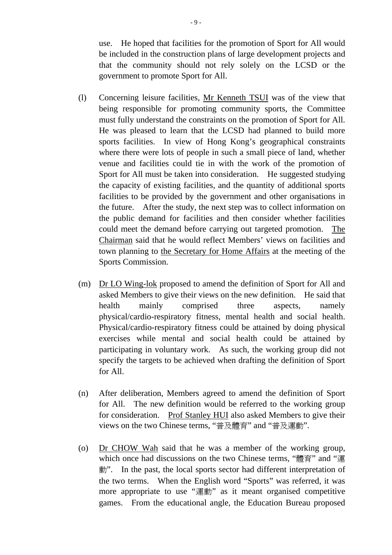use. He hoped that facilities for the promotion of Sport for All would be included in the construction plans of large development projects and that the community should not rely solely on the LCSD or the government to promote Sport for All.

- (l) Concerning leisure facilities, Mr Kenneth TSUI was of the view that being responsible for promoting community sports, the Committee must fully understand the constraints on the promotion of Sport for All. He was pleased to learn that the LCSD had planned to build more sports facilities. In view of Hong Kong's geographical constraints where there were lots of people in such a small piece of land, whether venue and facilities could tie in with the work of the promotion of Sport for All must be taken into consideration. He suggested studying the capacity of existing facilities, and the quantity of additional sports facilities to be provided by the government and other organisations in the future. After the study, the next step was to collect information on the public demand for facilities and then consider whether facilities could meet the demand before carrying out targeted promotion. The Chairman said that he would reflect Members' views on facilities and town planning to the Secretary for Home Affairs at the meeting of the Sports Commission.
- (m) Dr LO Wing-lok proposed to amend the definition of Sport for All and asked Members to give their views on the new definition. He said that health mainly comprised three aspects, namely physical/cardio-respiratory fitness, mental health and social health. Physical/cardio-respiratory fitness could be attained by doing physical exercises while mental and social health could be attained by participating in voluntary work. As such, the working group did not specify the targets to be achieved when drafting the definition of Sport for All.
- (n) After deliberation, Members agreed to amend the definition of Sport for All. The new definition would be referred to the working group for consideration. Prof Stanley HUI also asked Members to give their views on the two Chinese terms, "普及體育" and "普及運動".
- (o) Dr CHOW Wah said that he was a member of the working group, which once had discussions on the two Chinese terms, "體育" and "運 動". In the past, the local sports sector had different interpretation of the two terms. When the English word "Sports" was referred, it was more appropriate to use "運動" as it meant organised competitive games. From the educational angle, the Education Bureau proposed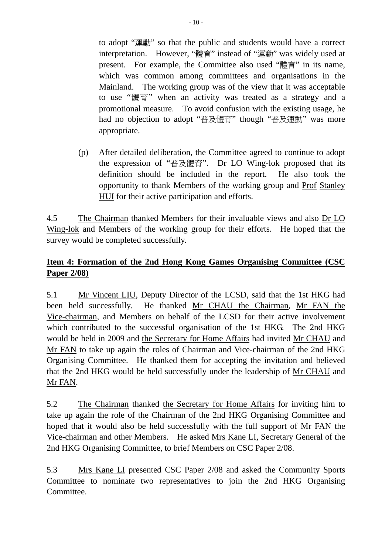to adopt "運動" so that the public and students would have a correct interpretation. However, "體育" instead of "運動" was widely used at present. For example, the Committee also used "體育" in its name, which was common among committees and organisations in the Mainland. The working group was of the view that it was acceptable to use "體育" when an activity was treated as a strategy and a promotional measure. To avoid confusion with the existing usage, he had no objection to adopt "普及體育" though "普及運動" was more appropriate.

(p) After detailed deliberation, the Committee agreed to continue to adopt the expression of "普及體育". Dr LO Wing-lok proposed that its definition should be included in the report. He also took the opportunity to thank Members of the working group and Prof Stanley HUI for their active participation and efforts.

4.5 The Chairman thanked Members for their invaluable views and also Dr LO Wing-lok and Members of the working group for their efforts. He hoped that the survey would be completed successfully.

# **Item 4: Formation of the 2nd Hong Kong Games Organising Committee (CSC Paper 2/08)**

5.1 Mr Vincent LIU, Deputy Director of the LCSD, said that the 1st HKG had been held successfully. He thanked Mr CHAU the Chairman, Mr FAN the Vice-chairman, and Members on behalf of the LCSD for their active involvement which contributed to the successful organisation of the 1st HKG. The 2nd HKG would be held in 2009 and the Secretary for Home Affairs had invited Mr CHAU and Mr FAN to take up again the roles of Chairman and Vice-chairman of the 2nd HKG Organising Committee. He thanked them for accepting the invitation and believed that the 2nd HKG would be held successfully under the leadership of Mr CHAU and Mr FAN.

5.2 The Chairman thanked the Secretary for Home Affairs for inviting him to take up again the role of the Chairman of the 2nd HKG Organising Committee and hoped that it would also be held successfully with the full support of Mr FAN the Vice-chairman and other Members. He asked Mrs Kane LI, Secretary General of the 2nd HKG Organising Committee, to brief Members on CSC Paper 2/08.

5.3 Mrs Kane LI presented CSC Paper 2/08 and asked the Community Sports Committee to nominate two representatives to join the 2nd HKG Organising Committee.